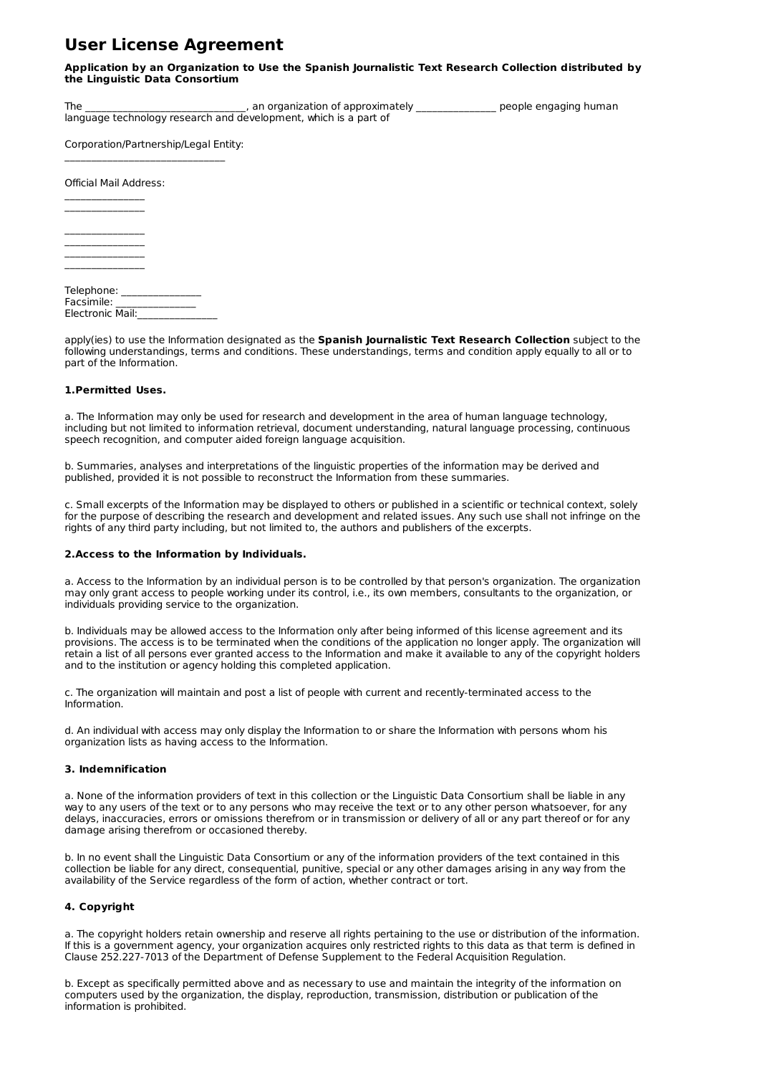# **User License Agreement**

#### **Application by an Organization to Use the Spanish Journalistic Text Research Collection distributed by the Linguistic Data Consortium**

The \_\_\_\_\_\_\_\_\_\_\_\_\_\_\_\_\_\_\_\_\_\_\_\_\_\_\_\_\_, an organization of approximately \_\_\_\_\_\_\_\_\_\_\_\_\_\_\_\_\_\_\_ people engaging human language technology research and development, which is a part of

Corporation/Partnership/Legal Entity:  $\mathcal{L}_\text{max}$ 

Official Mail Address:  $\mathcal{L}=\mathcal{L}=\mathcal{L}=\mathcal{L}=\mathcal{L}=\mathcal{L}=\mathcal{L}$ 

 $\mathcal{L}=\mathcal{L}=\mathcal{L}=\mathcal{L}=\mathcal{L}=\mathcal{L}=\mathcal{L}$  $\mathcal{L}=\mathcal{L}=\mathcal{L}=\mathcal{L}=\mathcal{L}=\mathcal{L}=\mathcal{L}$  $\mathcal{L}=\mathcal{L}=\mathcal{L}=\mathcal{L}=\mathcal{L}=\mathcal{L}=\mathcal{L}$  $\mathcal{L}=\mathcal{L}=\mathcal{L}=\mathcal{L}=\mathcal{L}=\mathcal{L}=\mathcal{L}$  $\mathcal{L}=\mathcal{L}=\mathcal{L}=\mathcal{L}=\mathcal{L}=\mathcal{L}=\mathcal{L}$ 

Telephone: \_\_\_\_\_\_\_\_\_\_\_\_\_\_\_ Facsimile: \_\_\_\_\_\_\_\_\_\_\_\_\_\_\_ Electronic Mail:

apply(ies) to use the Information designated as the **Spanish Journalistic Text Research Collection** subject to the following understandings, terms and conditions. These understandings, terms and condition apply equally to all or to part of the Information.

### **1.Permitted Uses.**

a. The Information may only be used for research and development in the area of human language technology, including but not limited to information retrieval, document understanding, natural language processing, continuous speech recognition, and computer aided foreign language acquisition.

b. Summaries, analyses and interpretations of the linguistic properties of the information may be derived and published, provided it is not possible to reconstruct the Information from these summaries.

c. Small excerpts of the Information may be displayed to others or published in a scientific or technical context, solely for the purpose of describing the research and development and related issues. Any such use shall not infringe on the rights of any third party including, but not limited to, the authors and publishers of the excerpts.

#### **2.Access to the Information by Individuals.**

a. Access to the Information by an individual person is to be controlled by that person's organization. The organization may only grant access to people working under its control, i.e., its own members, consultants to the organization, or individuals providing service to the organization.

b. Individuals may be allowed access to the Information only after being informed of this license agreement and its provisions. The access is to be terminated when the conditions of the application no longer apply. The organization will retain a list of all persons ever granted access to the Information and make it available to any of the copyright holders and to the institution or agency holding this completed application.

c. The organization will maintain and post a list of people with current and recently-terminated access to the Information.

d. An individual with access may only display the Information to or share the Information with persons whom his organization lists as having access to the Information.

## **3. Indemnification**

a. None of the information providers of text in this collection or the Linguistic Data Consortium shall be liable in any way to any users of the text or to any persons who may receive the text or to any other person whatsoever, for any delays, inaccuracies, errors or omissions therefrom or in transmission or delivery of all or any part thereof or for any damage arising therefrom or occasioned thereby.

b. In no event shall the Linguistic Data Consortium or any of the information providers of the text contained in this collection be liable for any direct, consequential, punitive, special or any other damages arising in any way from the availability of the Service regardless of the form of action, whether contract or tort.

## **4. Copyright**

a. The copyright holders retain ownership and reserve all rights pertaining to the use or distribution of the information. If this is a government agency, your organization acquires only restricted rights to this data as that term is defined in Clause 252.227-7013 of the Department of Defense Supplement to the Federal Acquisition Regulation.

b. Except as specifically permitted above and as necessary to use and maintain the integrity of the information on computers used by the organization, the display, reproduction, transmission, distribution or publication of the information is prohibited.